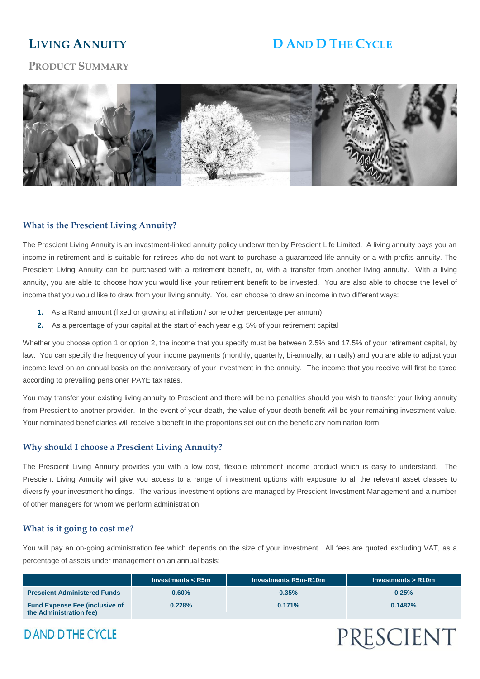# **LIVING ANNUITY D AND D THE CYCLE**

## **PRODUCT SUMMARY**



### **What is the Prescient Living Annuity?**

The Prescient Living Annuity is an investment-linked annuity policy underwritten by Prescient Life Limited. A living annuity pays you an income in retirement and is suitable for retirees who do not want to purchase a guaranteed life annuity or a with-profits annuity. The Prescient Living Annuity can be purchased with a retirement benefit, or, with a transfer from another living annuity. With a living annuity, you are able to choose how you would like your retirement benefit to be invested. You are also able to choose the level of income that you would like to draw from your living annuity. You can choose to draw an income in two different ways:

- **1.** As a Rand amount (fixed or growing at inflation / some other percentage per annum)
- **2.** As a percentage of your capital at the start of each year e.g. 5% of your retirement capital

Whether you choose option 1 or option 2, the income that you specify must be between 2.5% and 17.5% of your retirement capital, by law. You can specify the frequency of your income payments (monthly, quarterly, bi-annually, annually) and you are able to adjust your income level on an annual basis on the anniversary of your investment in the annuity. The income that you receive will first be taxed according to prevailing pensioner PAYE tax rates.

You may transfer your existing living annuity to Prescient and there will be no penalties should you wish to transfer your living annuity from Prescient to another provider. In the event of your death, the value of your death benefit will be your remaining investment value. Your nominated beneficiaries will receive a benefit in the proportions set out on the beneficiary nomination form.

#### **Why should I choose a Prescient Living Annuity?**

The Prescient Living Annuity provides you with a low cost, flexible retirement income product which is easy to understand. The Prescient Living Annuity will give you access to a range of investment options with exposure to all the relevant asset classes to diversify your investment holdings. The various investment options are managed by Prescient Investment Management and a number of other managers for whom we perform administration.

#### **What is it going to cost me?**

You will pay an on-going administration fee which depends on the size of your investment. All fees are quoted excluding VAT, as a percentage of assets under management on an annual basis:

|                                                                  | Investments $<$ R5m | <b>Investments R5m-R10m</b> | Investments $>$ R10m |
|------------------------------------------------------------------|---------------------|-----------------------------|----------------------|
| <b>Prescient Administered Funds</b>                              | 0.60%               | 0.35%                       | 0.25%                |
| <b>Fund Expense Fee (inclusive of</b><br>the Administration fee) | $0.228\%$           | 0.171%                      | 0.1482%              |

PRESCIENT

# **DAND DTHE CYCLE**